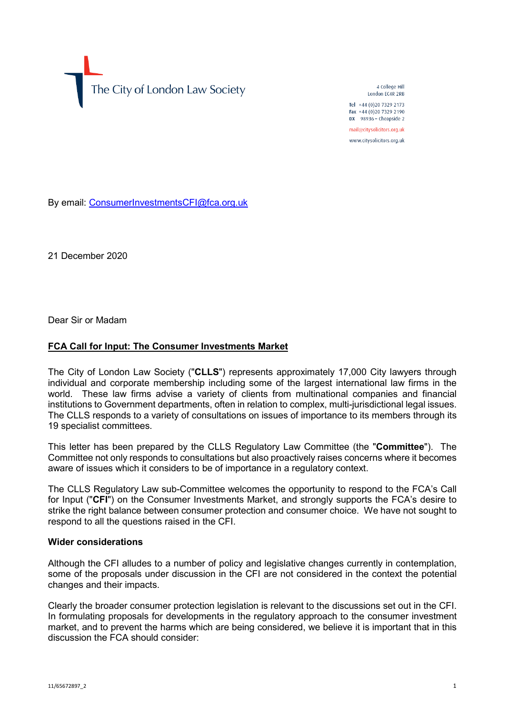The City of London Law Society

4 College Hill London FC4R 2RB

Tel +44 (0)20 7329 2173 Fax +44 (0)20 7329 2190 DX  $98936$  - Cheapside 2 mail@citysolicitors.org.uk

www.citysolicitors.org.uk

By email: [ConsumerInvestmentsCFI@fca.org.uk](mailto:ConsumerInvestmentsCFI@fca.org.uk)

21 December 2020

Dear Sir or Madam

#### **FCA Call for Input: The Consumer Investments Market**

The City of London Law Society ("**CLLS**") represents approximately 17,000 City lawyers through individual and corporate membership including some of the largest international law firms in the world. These law firms advise a variety of clients from multinational companies and financial institutions to Government departments, often in relation to complex, multi-jurisdictional legal issues. The CLLS responds to a variety of consultations on issues of importance to its members through its 19 specialist committees.

This letter has been prepared by the CLLS Regulatory Law Committee (the "**Committee**"). The Committee not only responds to consultations but also proactively raises concerns where it becomes aware of issues which it considers to be of importance in a regulatory context.

The CLLS Regulatory Law sub-Committee welcomes the opportunity to respond to the FCA's Call for Input ("**CFI**") on the Consumer Investments Market, and strongly supports the FCA's desire to strike the right balance between consumer protection and consumer choice. We have not sought to respond to all the questions raised in the CFI.

### **Wider considerations**

Although the CFI alludes to a number of policy and legislative changes currently in contemplation, some of the proposals under discussion in the CFI are not considered in the context the potential changes and their impacts.

Clearly the broader consumer protection legislation is relevant to the discussions set out in the CFI. In formulating proposals for developments in the regulatory approach to the consumer investment market, and to prevent the harms which are being considered, we believe it is important that in this discussion the FCA should consider: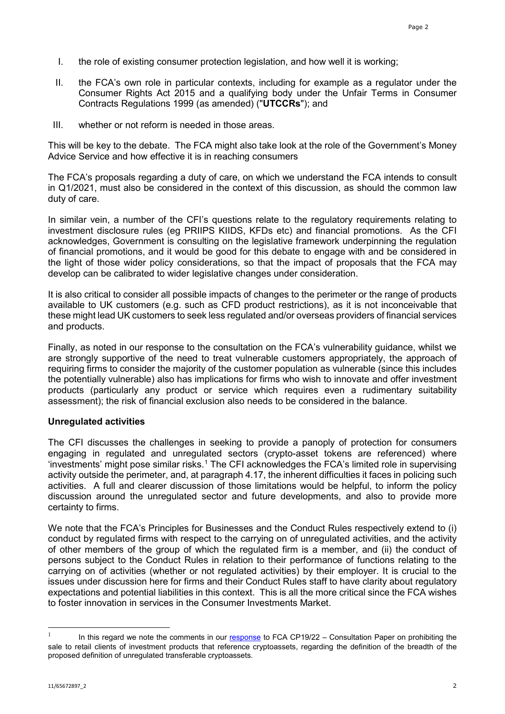- I. the role of existing consumer protection legislation, and how well it is working;
- II. the FCA's own role in particular contexts, including for example as a regulator under the Consumer Rights Act 2015 and a qualifying body under the Unfair Terms in Consumer Contracts Regulations 1999 (as amended) ("**UTCCRs**"); and
- III. whether or not reform is needed in those areas.

This will be key to the debate. The FCA might also take look at the role of the Government's Money Advice Service and how effective it is in reaching consumers

The FCA's proposals regarding a duty of care, on which we understand the FCA intends to consult in Q1/2021, must also be considered in the context of this discussion, as should the common law duty of care.

In similar vein, a number of the CFI's questions relate to the regulatory requirements relating to investment disclosure rules (eg PRIIPS KIIDS, KFDs etc) and financial promotions. As the CFI acknowledges, Government is consulting on the legislative framework underpinning the regulation of financial promotions, and it would be good for this debate to engage with and be considered in the light of those wider policy considerations, so that the impact of proposals that the FCA may develop can be calibrated to wider legislative changes under consideration.

It is also critical to consider all possible impacts of changes to the perimeter or the range of products available to UK customers (e.g. such as CFD product restrictions), as it is not inconceivable that these might lead UK customers to seek less regulated and/or overseas providers of financial services and products.

Finally, as noted in our response to the consultation on the FCA's vulnerability guidance, whilst we are strongly supportive of the need to treat vulnerable customers appropriately, the approach of requiring firms to consider the majority of the customer population as vulnerable (since this includes the potentially vulnerable) also has implications for firms who wish to innovate and offer investment products (particularly any product or service which requires even a rudimentary suitability assessment); the risk of financial exclusion also needs to be considered in the balance.

#### **Unregulated activities**

The CFI discusses the challenges in seeking to provide a panoply of protection for consumers engaging in regulated and unregulated sectors (crypto-asset tokens are referenced) where 'investments' might pose similar risks.<sup>[1](#page-1-0)</sup> The CFI acknowledges the FCA's limited role in supervising activity outside the perimeter, and, at paragraph 4.17, the inherent difficulties it faces in policing such activities. A full and clearer discussion of those limitations would be helpful, to inform the policy discussion around the unregulated sector and future developments, and also to provide more certainty to firms.

We note that the FCA's Principles for Businesses and the Conduct Rules respectively extend to (i) conduct by regulated firms with respect to the carrying on of unregulated activities, and the activity of other members of the group of which the regulated firm is a member, and (ii) the conduct of persons subject to the Conduct Rules in relation to their performance of functions relating to the carrying on of activities (whether or not regulated activities) by their employer. It is crucial to the issues under discussion here for firms and their Conduct Rules staff to have clarity about regulatory expectations and potential liabilities in this context. This is all the more critical since the FCA wishes to foster innovation in services in the Consumer Investments Market.

<span id="page-1-0"></span> $\mathbf{1}$ In this regard we note the comments in our [response](https://www.citysolicitors.org.uk/storage/2019/10/CLLS-Reg-Law-Comm-Final-response-to-FCA-CP-on-prohibiting-sale-to-retail-clients-of-investment-products-that-reference-cryptoasse.pdf) to FCA CP19/22 – Consultation Paper on prohibiting the sale to retail clients of investment products that reference cryptoassets, regarding the definition of the breadth of the proposed definition of unregulated transferable cryptoassets.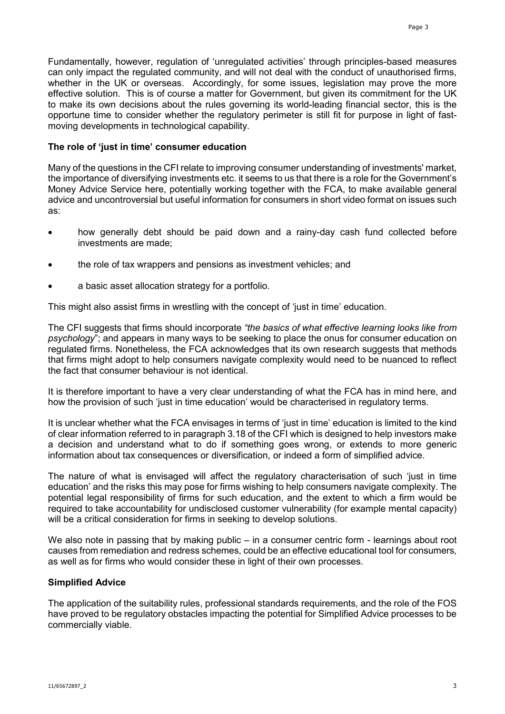Fundamentally, however, regulation of 'unregulated activities' through principles-based measures can only impact the regulated community, and will not deal with the conduct of unauthorised firms, whether in the UK or overseas. Accordingly, for some issues, legislation may prove the more effective solution. This is of course a matter for Government, but given its commitment for the UK to make its own decisions about the rules governing its world-leading financial sector, this is the opportune time to consider whether the regulatory perimeter is still fit for purpose in light of fastmoving developments in technological capability.

### **The role of 'just in time' consumer education**

Many of the questions in the CFI relate to improving consumer understanding of investments' market, the importance of diversifying investments etc. it seems to us that there is a role for the Government's Money Advice Service here, potentially working together with the FCA, to make available general advice and uncontroversial but useful information for consumers in short video format on issues such as:

- how generally debt should be paid down and a rainy-day cash fund collected before investments are made;
- the role of tax wrappers and pensions as investment vehicles; and
- a basic asset allocation strategy for a portfolio.

This might also assist firms in wrestling with the concept of 'just in time' education.

The CFI suggests that firms should incorporate *"the basics of what effective learning looks like from psychology*"; and appears in many ways to be seeking to place the onus for consumer education on regulated firms. Nonetheless, the FCA acknowledges that its own research suggests that methods that firms might adopt to help consumers navigate complexity would need to be nuanced to reflect the fact that consumer behaviour is not identical.

It is therefore important to have a very clear understanding of what the FCA has in mind here, and how the provision of such 'just in time education' would be characterised in regulatory terms.

It is unclear whether what the FCA envisages in terms of 'just in time' education is limited to the kind of clear information referred to in paragraph 3.18 of the CFI which is designed to help investors make a decision and understand what to do if something goes wrong, or extends to more generic information about tax consequences or diversification, or indeed a form of simplified advice.

The nature of what is envisaged will affect the regulatory characterisation of such 'just in time education' and the risks this may pose for firms wishing to help consumers navigate complexity. The potential legal responsibility of firms for such education, and the extent to which a firm would be required to take accountability for undisclosed customer vulnerability (for example mental capacity) will be a critical consideration for firms in seeking to develop solutions.

We also note in passing that by making public – in a consumer centric form - learnings about root causes from remediation and redress schemes, could be an effective educational tool for consumers, as well as for firms who would consider these in light of their own processes.

## **Simplified Advice**

The application of the suitability rules, professional standards requirements, and the role of the FOS have proved to be regulatory obstacles impacting the potential for Simplified Advice processes to be commercially viable.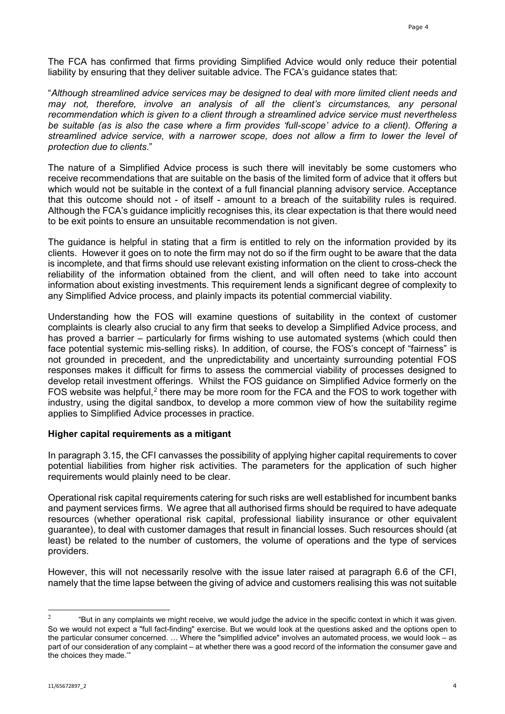The FCA has confirmed that firms providing Simplified Advice would only reduce their potential liability by ensuring that they deliver suitable advice. The FCA's guidance states that:

"*Although streamlined advice services may be designed to deal with more limited client needs and may not, therefore, involve an analysis of all the client's circumstances, any personal recommendation which is given to a client through a streamlined advice service must nevertheless be suitable (as is also the case where a firm provides 'full-scope' advice to a client). Offering a streamlined advice service, with a narrower scope, does not allow a firm to lower the level of protection due to clients.*"

The nature of a Simplified Advice process is such there will inevitably be some customers who receive recommendations that are suitable on the basis of the limited form of advice that it offers but which would not be suitable in the context of a full financial planning advisory service. Acceptance that this outcome should not - of itself - amount to a breach of the suitability rules is required. Although the FCA's guidance implicitly recognises this, its clear expectation is that there would need to be exit points to ensure an unsuitable recommendation is not given.

The guidance is helpful in stating that a firm is entitled to rely on the information provided by its clients. However it goes on to note the firm may not do so if the firm ought to be aware that the data is incomplete, and that firms should use relevant existing information on the client to cross-check the reliability of the information obtained from the client, and will often need to take into account information about existing investments. This requirement lends a significant degree of complexity to any Simplified Advice process, and plainly impacts its potential commercial viability.

Understanding how the FOS will examine questions of suitability in the context of customer complaints is clearly also crucial to any firm that seeks to develop a Simplified Advice process, and has proved a barrier – particularly for firms wishing to use automated systems (which could then face potential systemic mis-selling risks). In addition, of course, the FOS's concept of "fairness" is not grounded in precedent, and the unpredictability and uncertainty surrounding potential FOS responses makes it difficult for firms to assess the commercial viability of processes designed to develop retail investment offerings. Whilst the FOS guidance on Simplified Advice formerly on the FOS website was helpful,<sup>[2](#page-3-0)</sup> there may be more room for the FCA and the FOS to work together with industry, using the digital sandbox, to develop a more common view of how the suitability regime applies to Simplified Advice processes in practice.

## **Higher capital requirements as a mitigant**

In paragraph 3.15, the CFI canvasses the possibility of applying higher capital requirements to cover potential liabilities from higher risk activities. The parameters for the application of such higher requirements would plainly need to be clear.

Operational risk capital requirements catering for such risks are well established for incumbent banks and payment services firms. We agree that all authorised firms should be required to have adequate resources (whether operational risk capital, professional liability insurance or other equivalent guarantee), to deal with customer damages that result in financial losses. Such resources should (at least) be related to the number of customers, the volume of operations and the type of services providers.

However, this will not necessarily resolve with the issue later raised at paragraph 6.6 of the CFI, namely that the time lapse between the giving of advice and customers realising this was not suitable

<span id="page-3-0"></span> $\frac{1}{2}$  "But in any complaints we might receive, we would judge the advice in the specific context in which it was given. So we would not expect a "full fact-finding" exercise. But we would look at the questions asked and the options open to the particular consumer concerned. … Where the "simplified advice" involves an automated process, we would look – as part of our consideration of any complaint – at whether there was a good record of the information the consumer gave and the choices they made.'"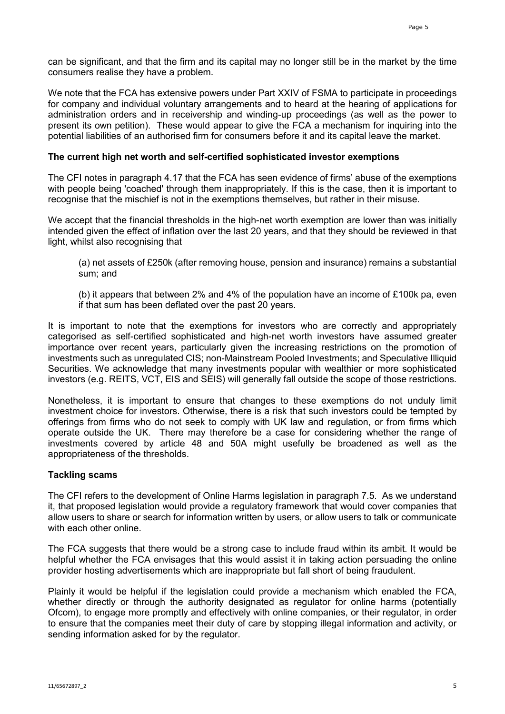can be significant, and that the firm and its capital may no longer still be in the market by the time consumers realise they have a problem.

We note that the FCA has extensive powers under Part XXIV of FSMA to participate in proceedings for company and individual voluntary arrangements and to heard at the hearing of applications for administration orders and in receivership and winding-up proceedings (as well as the power to present its own petition). These would appear to give the FCA a mechanism for inquiring into the potential liabilities of an authorised firm for consumers before it and its capital leave the market.

### **The current high net worth and self-certified sophisticated investor exemptions**

The CFI notes in paragraph 4.17 that the FCA has seen evidence of firms' abuse of the exemptions with people being 'coached' through them inappropriately. If this is the case, then it is important to recognise that the mischief is not in the exemptions themselves, but rather in their misuse.

We accept that the financial thresholds in the high-net worth exemption are lower than was initially intended given the effect of inflation over the last 20 years, and that they should be reviewed in that light, whilst also recognising that

(a) net assets of £250k (after removing house, pension and insurance) remains a substantial sum; and

(b) it appears that between 2% and 4% of the population have an income of £100k pa, even if that sum has been deflated over the past 20 years.

It is important to note that the exemptions for investors who are correctly and appropriately categorised as self-certified sophisticated and high-net worth investors have assumed greater importance over recent years, particularly given the increasing restrictions on the promotion of investments such as unregulated CIS; non-Mainstream Pooled Investments; and Speculative Illiquid Securities. We acknowledge that many investments popular with wealthier or more sophisticated investors (e.g. REITS, VCT, EIS and SEIS) will generally fall outside the scope of those restrictions.

Nonetheless, it is important to ensure that changes to these exemptions do not unduly limit investment choice for investors. Otherwise, there is a risk that such investors could be tempted by offerings from firms who do not seek to comply with UK law and regulation, or from firms which operate outside the UK. There may therefore be a case for considering whether the range of investments covered by article 48 and 50A might usefully be broadened as well as the appropriateness of the thresholds.

## **Tackling scams**

The CFI refers to the development of Online Harms legislation in paragraph 7.5. As we understand it, that proposed legislation would provide a regulatory framework that would cover companies that allow users to share or search for information written by users, or allow users to talk or communicate with each other online.

The FCA suggests that there would be a strong case to include fraud within its ambit. It would be helpful whether the FCA envisages that this would assist it in taking action persuading the online provider hosting advertisements which are inappropriate but fall short of being fraudulent.

Plainly it would be helpful if the legislation could provide a mechanism which enabled the FCA, whether directly or through the authority designated as regulator for online harms (potentially Ofcom), to engage more promptly and effectively with online companies, or their regulator, in order to ensure that the companies meet their duty of care by stopping illegal information and activity, or sending information asked for by the regulator.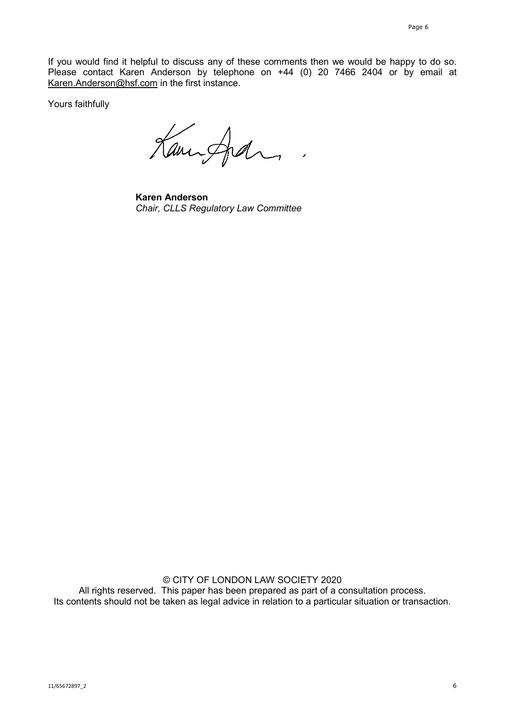If you would find it helpful to discuss any of these comments then we would be happy to do so. Please contact Karen Anderson by telephone on +44 (0) 20 7466 2404 or by email at [Karen.Anderson@hsf.com](mailto:Karen.Anderson@hsf.com) in the first instance.

Yours faithfully

Kanisfedra

**Karen Anderson** *Chair, CLLS Regulatory Law Committee*

© CITY OF LONDON LAW SOCIETY 2020 All rights reserved. This paper has been prepared as part of a consultation process. Its contents should not be taken as legal advice in relation to a particular situation or transaction.